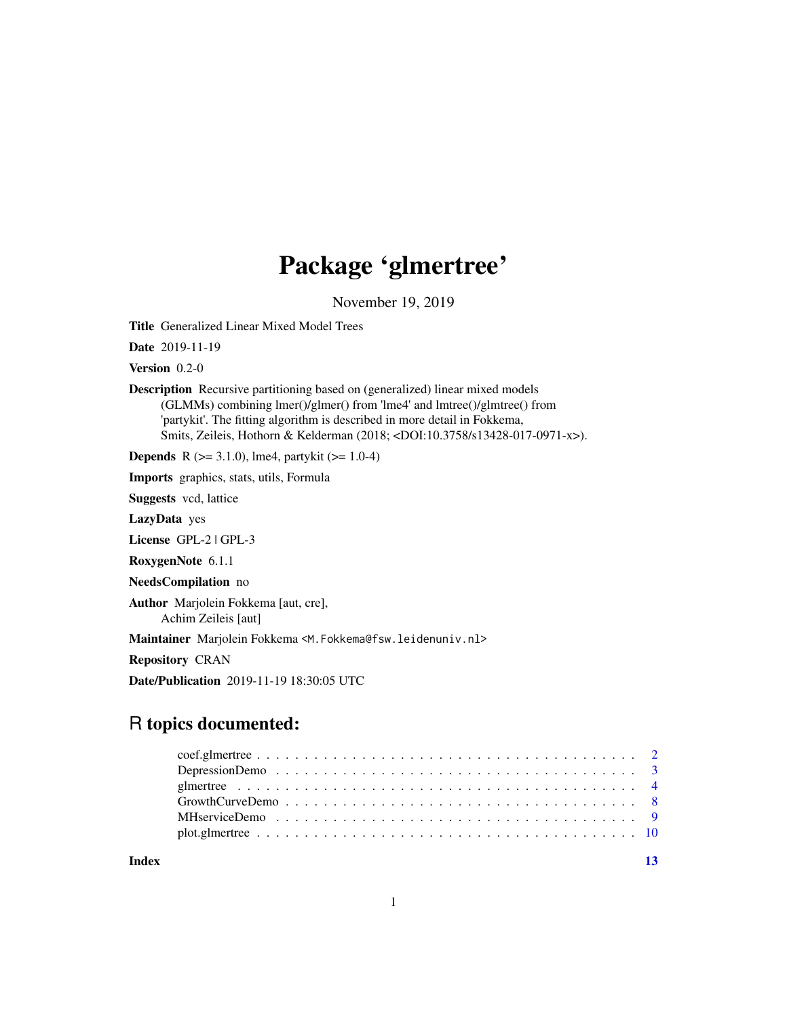# Package 'glmertree'

November 19, 2019

<span id="page-0-0"></span>Title Generalized Linear Mixed Model Trees

Date 2019-11-19

Version 0.2-0

Description Recursive partitioning based on (generalized) linear mixed models (GLMMs) combining lmer()/glmer() from 'lme4' and lmtree()/glmtree() from 'partykit'. The fitting algorithm is described in more detail in Fokkema, Smits, Zeileis, Hothorn & Kelderman (2018; <DOI:10.3758/s13428-017-0971-x>).

**Depends** R  $(>= 3.1.0)$ , lme4, partykit  $(>= 1.0-4)$ 

Imports graphics, stats, utils, Formula

Suggests vcd, lattice

LazyData yes

License GPL-2 | GPL-3

RoxygenNote 6.1.1

NeedsCompilation no

Author Marjolein Fokkema [aut, cre], Achim Zeileis [aut]

Maintainer Marjolein Fokkema <M. Fokkema@fsw.leidenuniv.nl>

Repository CRAN

Date/Publication 2019-11-19 18:30:05 UTC

## R topics documented:

**Index** [13](#page-12-0)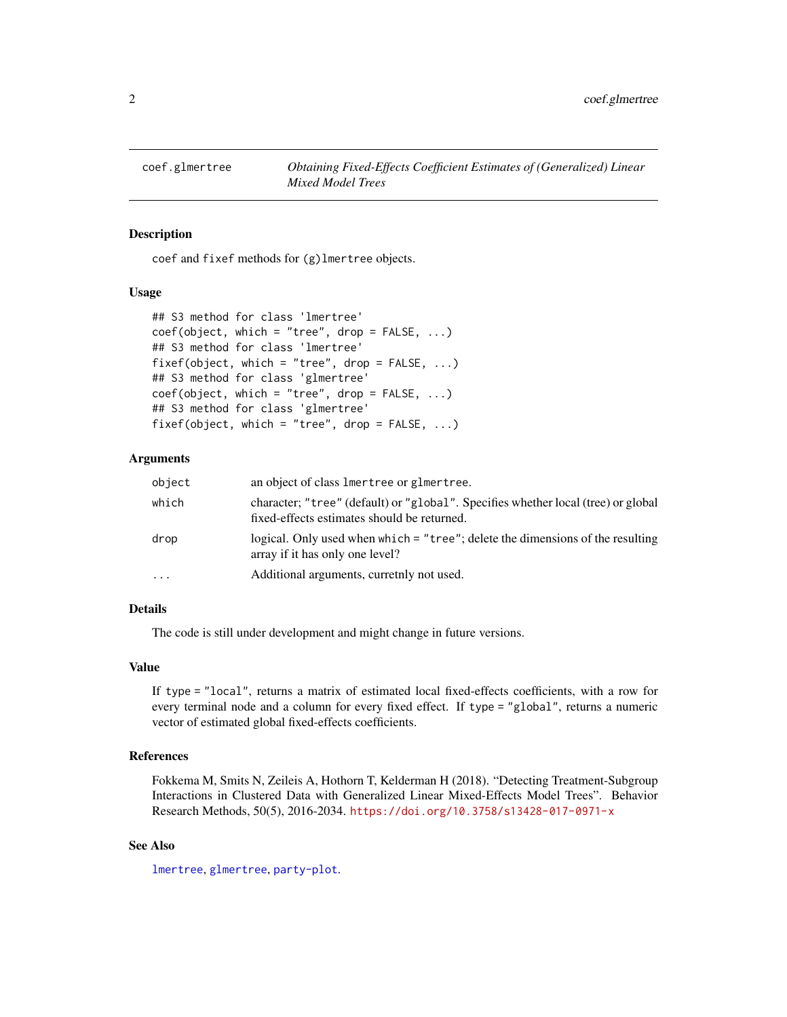<span id="page-1-0"></span>

## Description

coef and fixef methods for (g)lmertree objects.

## Usage

```
## S3 method for class 'lmertree'
coef(object, which = "tree", drop = FALSE, ...)## S3 method for class 'lmertree'
fixef(object, which = "tree", drop = FALSE, ...)
## S3 method for class 'glmertree'
coef(object, which = "tree", drop = FALSE, ...)## S3 method for class 'glmertree'
fixef(object, which = "tree", drop = FALSE, ...)
```
## Arguments

| object | an object of class lmertree or glmertree.                                                                                        |
|--------|----------------------------------------------------------------------------------------------------------------------------------|
| which  | character; "tree" (default) or "global". Specifies whether local (tree) or global<br>fixed-effects estimates should be returned. |
| drop   | logical. Only used when which = "tree"; delete the dimensions of the resulting<br>array if it has only one level?                |
| .      | Additional arguments, curretnly not used.                                                                                        |

## Details

The code is still under development and might change in future versions.

#### Value

If type = "local", returns a matrix of estimated local fixed-effects coefficients, with a row for every terminal node and a column for every fixed effect. If type = "global", returns a numeric vector of estimated global fixed-effects coefficients.

## References

Fokkema M, Smits N, Zeileis A, Hothorn T, Kelderman H (2018). "Detecting Treatment-Subgroup Interactions in Clustered Data with Generalized Linear Mixed-Effects Model Trees". Behavior Research Methods, 50(5), 2016-2034. <https://doi.org/10.3758/s13428-017-0971-x>

## See Also

[lmertree](#page-3-1), [glmertree](#page-3-2), [party-plot](#page-0-0).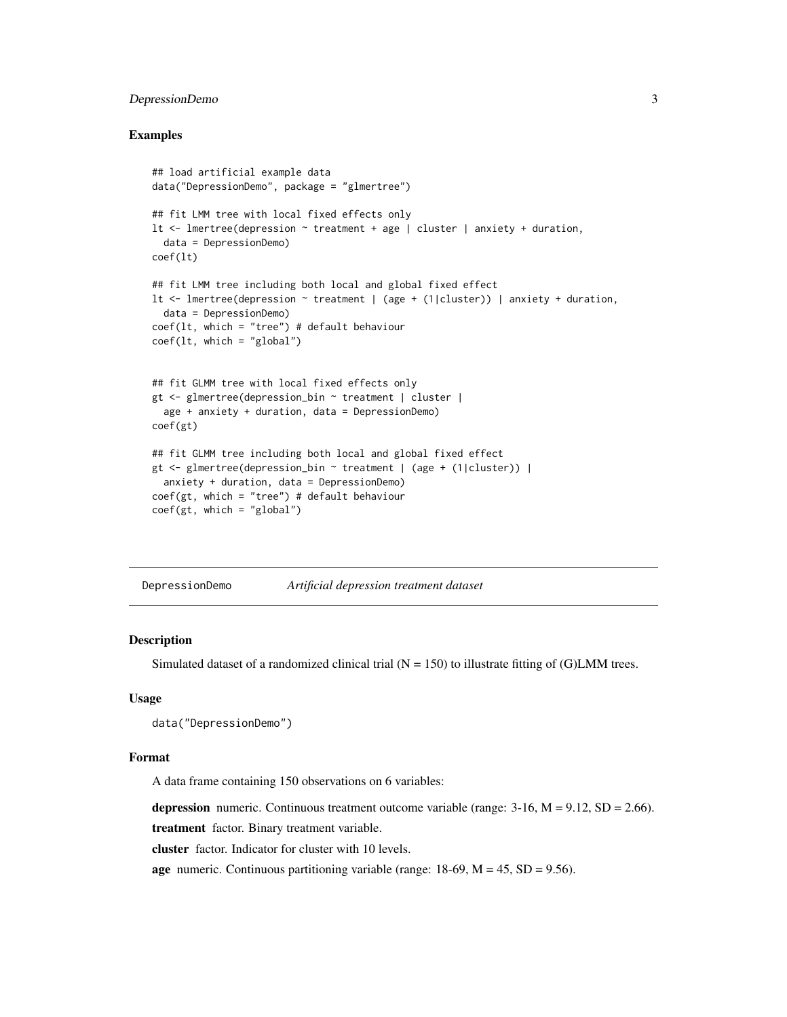## <span id="page-2-0"></span>DepressionDemo 3

## Examples

```
## load artificial example data
data("DepressionDemo", package = "glmertree")
## fit LMM tree with local fixed effects only
lt <- lmertree(depression ~ treatment + age | cluster | anxiety + duration,
  data = DepressionDemo)
coef(lt)
## fit LMM tree including both local and global fixed effect
lt <- lmertree(depression ~ treatment | (age + (1|cluster)) | anxiety + duration,
  data = DepressionDemo)
coef(lt, which = "tree") # default behaviour
coef(lt, which = "global")
## fit GLMM tree with local fixed effects only
gt <- glmertree(depression_bin ~ treatment | cluster |
  age + anxiety + duration, data = DepressionDemo)
coef(gt)
## fit GLMM tree including both local and global fixed effect
gt <- glmertree(depression_bin ~ treatment | (age + (1|cluster)) |
  anxiety + duration, data = DepressionDemo)
coef(gt, which = "tree") # default behaviorcoef(gt, which = "global")
```
DepressionDemo *Artificial depression treatment dataset*

## Description

Simulated dataset of a randomized clinical trial  $(N = 150)$  to illustrate fitting of (G)LMM trees.

## Usage

```
data("DepressionDemo")
```
## Format

A data frame containing 150 observations on 6 variables:

depression numeric. Continuous treatment outcome variable (range:  $3-16$ ,  $M = 9.12$ ,  $SD = 2.66$ ).

treatment factor. Binary treatment variable.

cluster factor. Indicator for cluster with 10 levels.

age numeric. Continuous partitioning variable (range:  $18-69$ ,  $M = 45$ ,  $SD = 9.56$ ).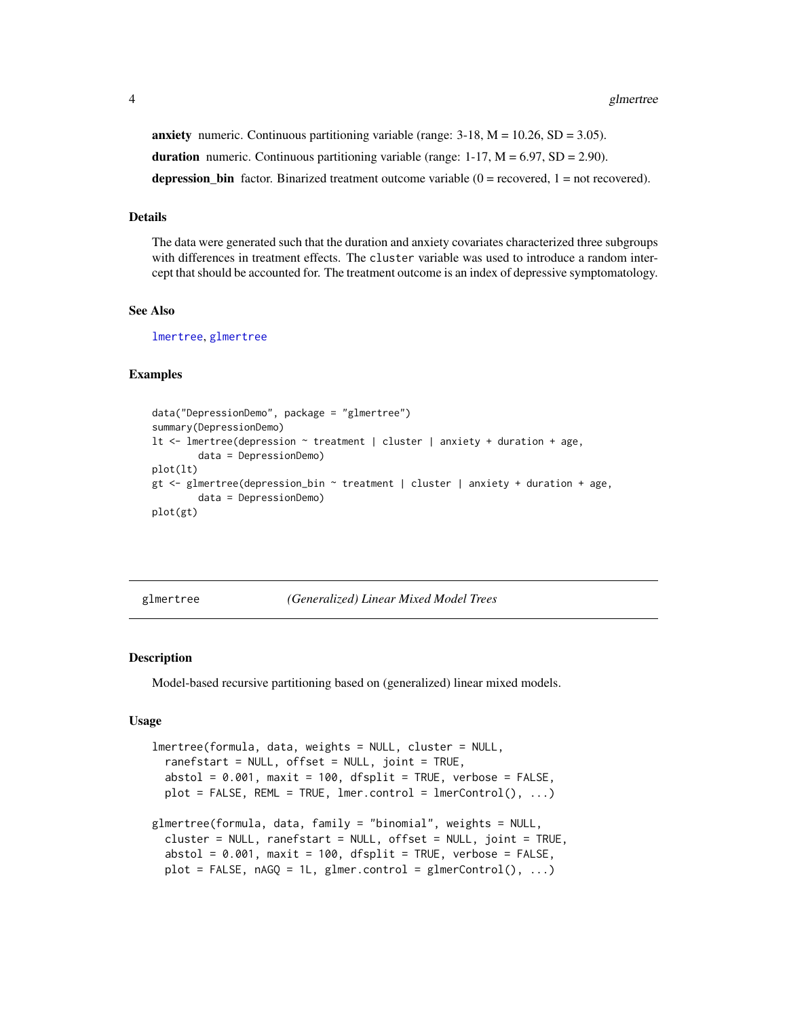<span id="page-3-0"></span>anxiety numeric. Continuous partitioning variable (range:  $3-18$ ,  $M = 10.26$ ,  $SD = 3.05$ ). duration numeric. Continuous partitioning variable (range:  $1-17$ ,  $M = 6.97$ , SD = 2.90). depression bin factor. Binarized treatment outcome variable  $(0 =$  recovered,  $1 =$  not recovered).

#### Details

The data were generated such that the duration and anxiety covariates characterized three subgroups with differences in treatment effects. The cluster variable was used to introduce a random intercept that should be accounted for. The treatment outcome is an index of depressive symptomatology.

## See Also

[lmertree](#page-3-1), [glmertree](#page-3-2)

## Examples

```
data("DepressionDemo", package = "glmertree")
summary(DepressionDemo)
lt <- lmertree(depression ~ treatment | cluster | anxiety + duration + age,
        data = DepressionDemo)
plot(lt)
gt <- glmertree(depression_bin ~ treatment | cluster | anxiety + duration + age,
        data = DepressionDemo)
plot(gt)
```
<span id="page-3-2"></span>glmertree *(Generalized) Linear Mixed Model Trees*

## <span id="page-3-1"></span>Description

Model-based recursive partitioning based on (generalized) linear mixed models.

#### Usage

```
lmertree(formula, data, weights = NULL, cluster = NULL,
  ranefstart = NULL, offset = NULL, joint = TRUE,
  abstol = 0.001, maxit = 100, dfsplit = TRUE, verbose = FALSE,
 plot = FALSE, REML = TRUE, lmer.contrib = lmerControl(), ...)glmertree(formula, data, family = "binomial", weights = NULL,
 cluster = NULL, ranefstart = NULL, offset = NULL, joint = TRUE,
  abstol = 0.001, maxit = 100, dfsplit = TRUE, verbose = FALSE,
 plot = FALSE, nAGQ = 1L, glmer.contrib = glmerControl(), ...)
```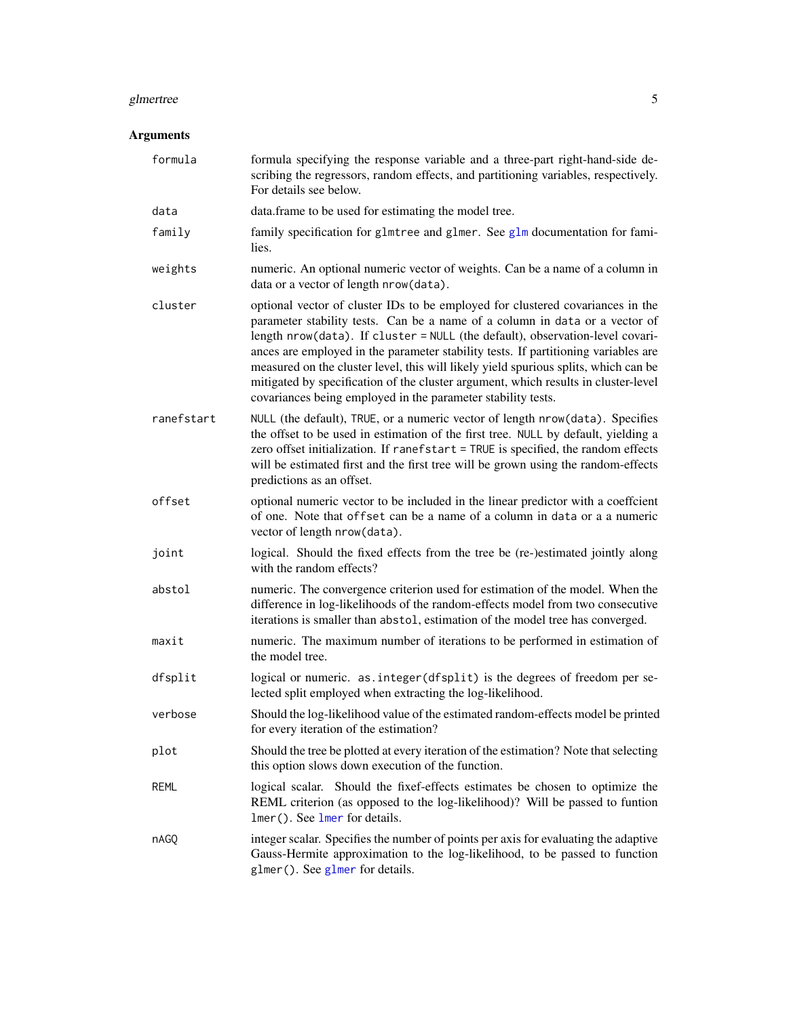#### <span id="page-4-0"></span>glmertree 5

## Arguments

| formula    | formula specifying the response variable and a three-part right-hand-side de-<br>scribing the regressors, random effects, and partitioning variables, respectively.<br>For details see below.                                                                                                                                                                                                                                                                                                                                                                                     |
|------------|-----------------------------------------------------------------------------------------------------------------------------------------------------------------------------------------------------------------------------------------------------------------------------------------------------------------------------------------------------------------------------------------------------------------------------------------------------------------------------------------------------------------------------------------------------------------------------------|
| data       | data.frame to be used for estimating the model tree.                                                                                                                                                                                                                                                                                                                                                                                                                                                                                                                              |
| family     | family specification for glmtree and glmer. See glm documentation for fami-<br>lies.                                                                                                                                                                                                                                                                                                                                                                                                                                                                                              |
| weights    | numeric. An optional numeric vector of weights. Can be a name of a column in<br>data or a vector of length nrow(data).                                                                                                                                                                                                                                                                                                                                                                                                                                                            |
| cluster    | optional vector of cluster IDs to be employed for clustered covariances in the<br>parameter stability tests. Can be a name of a column in data or a vector of<br>length nrow(data). If cluster = NULL (the default), observation-level covari-<br>ances are employed in the parameter stability tests. If partitioning variables are<br>measured on the cluster level, this will likely yield spurious splits, which can be<br>mitigated by specification of the cluster argument, which results in cluster-level<br>covariances being employed in the parameter stability tests. |
| ranefstart | NULL (the default), TRUE, or a numeric vector of length nrow (data). Specifies<br>the offset to be used in estimation of the first tree. NULL by default, yielding a<br>zero offset initialization. If ranefstart = TRUE is specified, the random effects<br>will be estimated first and the first tree will be grown using the random-effects<br>predictions as an offset.                                                                                                                                                                                                       |
| offset     | optional numeric vector to be included in the linear predictor with a coeffcient<br>of one. Note that offset can be a name of a column in data or a a numeric<br>vector of length nrow(data).                                                                                                                                                                                                                                                                                                                                                                                     |
| joint      | logical. Should the fixed effects from the tree be (re-)estimated jointly along<br>with the random effects?                                                                                                                                                                                                                                                                                                                                                                                                                                                                       |
| abstol     | numeric. The convergence criterion used for estimation of the model. When the<br>difference in log-likelihoods of the random-effects model from two consecutive<br>iterations is smaller than abstol, estimation of the model tree has converged.                                                                                                                                                                                                                                                                                                                                 |
| maxit      | numeric. The maximum number of iterations to be performed in estimation of<br>the model tree.                                                                                                                                                                                                                                                                                                                                                                                                                                                                                     |
| dfsplit    | logical or numeric. as.integer(dfsplit) is the degrees of freedom per se-<br>lected split employed when extracting the log-likelihood.                                                                                                                                                                                                                                                                                                                                                                                                                                            |
| verbose    | Should the log-likelihood value of the estimated random-effects model be printed<br>for every iteration of the estimation?                                                                                                                                                                                                                                                                                                                                                                                                                                                        |
| plot       | Should the tree be plotted at every iteration of the estimation? Note that selecting<br>this option slows down execution of the function.                                                                                                                                                                                                                                                                                                                                                                                                                                         |
| REML       | logical scalar. Should the fixef-effects estimates be chosen to optimize the<br>REML criterion (as opposed to the log-likelihood)? Will be passed to funtion<br>lmer(). See lmer for details.                                                                                                                                                                                                                                                                                                                                                                                     |
| nAGO       | integer scalar. Specifies the number of points per axis for evaluating the adaptive<br>Gauss-Hermite approximation to the log-likelihood, to be passed to function<br>$glmer()$ . See $glmer$ for details.                                                                                                                                                                                                                                                                                                                                                                        |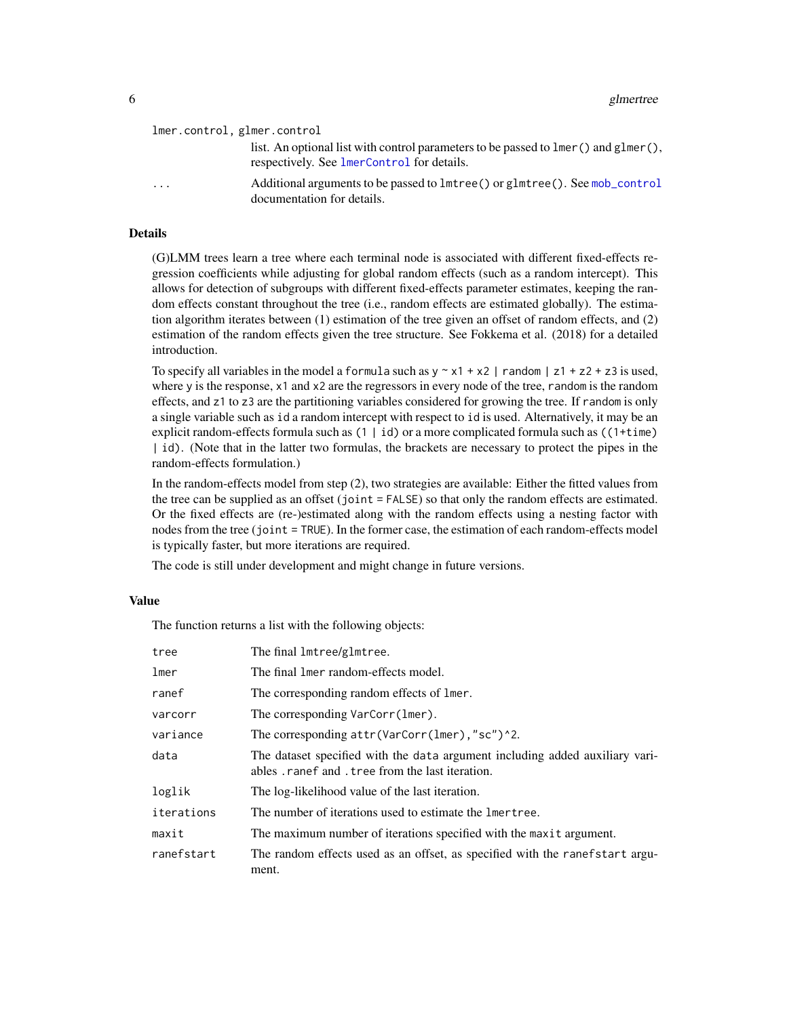<span id="page-5-0"></span>

| lmer.control, glmer.control |  |  |  |  |
|-----------------------------|--|--|--|--|
|-----------------------------|--|--|--|--|

| list. An optional list with control parameters to be passed to $lmer()$ and $glmer(),$ |
|----------------------------------------------------------------------------------------|
| respectively. See lmerControl for details.                                             |

... Additional arguments to be passed to lmtree() or glmtree(). See [mob\\_control](#page-0-0) documentation for details.

## Details

(G)LMM trees learn a tree where each terminal node is associated with different fixed-effects regression coefficients while adjusting for global random effects (such as a random intercept). This allows for detection of subgroups with different fixed-effects parameter estimates, keeping the random effects constant throughout the tree (i.e., random effects are estimated globally). The estimation algorithm iterates between (1) estimation of the tree given an offset of random effects, and (2) estimation of the random effects given the tree structure. See Fokkema et al. (2018) for a detailed introduction.

To specify all variables in the model a formula such as  $y \sim x1 + x2$  | random | z1 + z2 + z3 is used, where y is the response,  $x1$  and  $x2$  are the regressors in every node of the tree, random is the random effects, and z1 to z3 are the partitioning variables considered for growing the tree. If random is only a single variable such as id a random intercept with respect to id is used. Alternatively, it may be an explicit random-effects formula such as  $(1 | id)$  or a more complicated formula such as  $((1 + time))$ | id). (Note that in the latter two formulas, the brackets are necessary to protect the pipes in the random-effects formulation.)

In the random-effects model from step (2), two strategies are available: Either the fitted values from the tree can be supplied as an offset (joint = FALSE) so that only the random effects are estimated. Or the fixed effects are (re-)estimated along with the random effects using a nesting factor with nodes from the tree (joint = TRUE). In the former case, the estimation of each random-effects model is typically faster, but more iterations are required.

The code is still under development and might change in future versions.

## Value

The function returns a list with the following objects:

| tree       | The final lmtree/glmtree.                                                                                                     |
|------------|-------------------------------------------------------------------------------------------------------------------------------|
| lmer       | The final lmer random-effects model.                                                                                          |
| ranef      | The corresponding random effects of lmer.                                                                                     |
| varcorr    | The corresponding VarCorr(lmer).                                                                                              |
| variance   | The corresponding $attr(VarCorr(1mer), "sc")^2$ .                                                                             |
| data       | The dataset specified with the data argument including added auxiliary vari-<br>ables ranef and tree from the last iteration. |
| loglik     | The log-likelihood value of the last iteration.                                                                               |
| iterations | The number of iterations used to estimate the lmertree.                                                                       |
| maxit      | The maximum number of iterations specified with the maxit argument.                                                           |
| ranefstart | The random effects used as an offset, as specified with the ranefstart argu-<br>ment.                                         |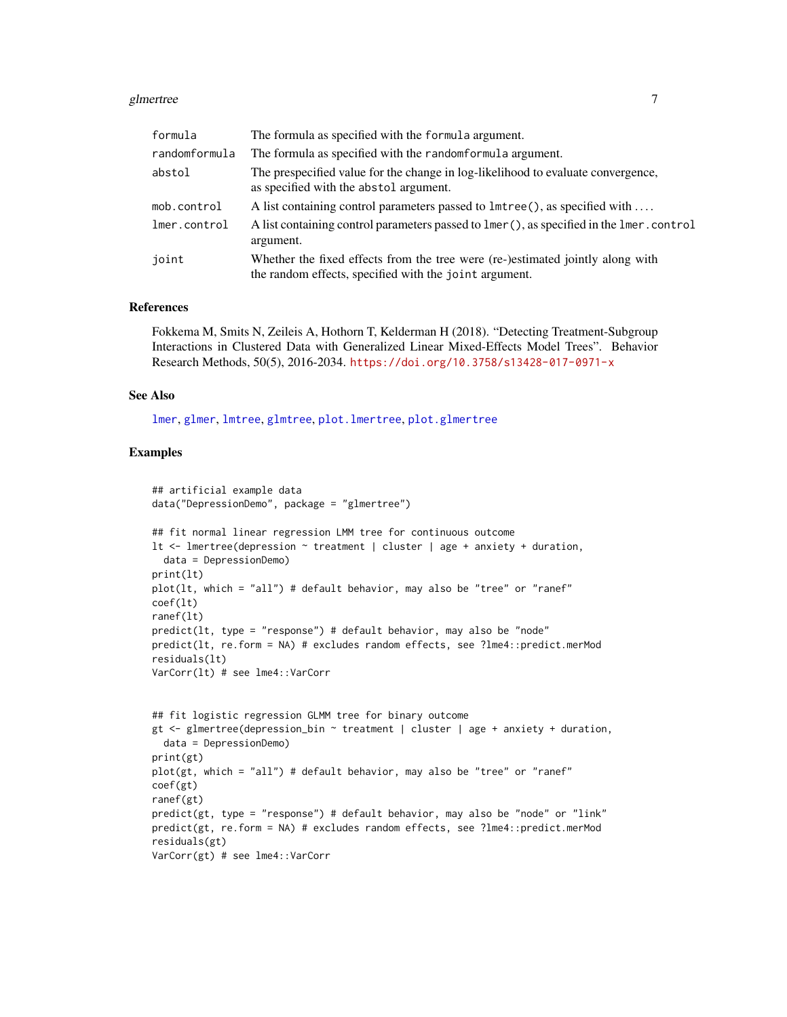#### <span id="page-6-0"></span>glmertree 7

| formula       | The formula as specified with the formula argument.                                                                                      |
|---------------|------------------------------------------------------------------------------------------------------------------------------------------|
| randomformula | The formula as specified with the randomformula argument.                                                                                |
| abstol        | The prespecified value for the change in log-likelihood to evaluate convergence,<br>as specified with the abstol argument.               |
| mob.control   | A list containing control parameters passed to 1mtree(), as specified with                                                               |
| lmer.control  | A list containing control parameters passed to lmer(), as specified in the lmer.control<br>argument.                                     |
| joint         | Whether the fixed effects from the tree were (re-)estimated jointly along with<br>the random effects, specified with the joint argument. |

## References

Fokkema M, Smits N, Zeileis A, Hothorn T, Kelderman H (2018). "Detecting Treatment-Subgroup Interactions in Clustered Data with Generalized Linear Mixed-Effects Model Trees". Behavior Research Methods, 50(5), 2016-2034. <https://doi.org/10.3758/s13428-017-0971-x>

#### See Also

[lmer](#page-0-0), [glmer](#page-0-0), [lmtree](#page-0-0), [glmtree](#page-0-0), [plot.lmertree](#page-9-1), [plot.glmertree](#page-9-2)

## Examples

```
## artificial example data
data("DepressionDemo", package = "glmertree")
## fit normal linear regression LMM tree for continuous outcome
lt \le lmertree(depression \sim treatment | cluster | age + anxiety + duration,
  data = DepressionDemo)
print(lt)
plot(lt, which = "all") # default behavior, may also be "tree" or "ranef"
coef(lt)
ranef(lt)
predict(lt, type = "response") # default behavior, may also be "node"
predict(lt, re.form = NA) # excludes random effects, see ?lme4::predict.merMod
residuals(lt)
VarCorr(lt) # see lme4::VarCorr
## fit logistic regression GLMM tree for binary outcome
gt \lt- glmertree(depression_bin \sim treatment | cluster | age + anxiety + duration,
  data = DepressionDemo)
print(gt)
plot(gt, which = "all") # default behavior, may also be "tree" or "ranef"
coef(gt)
ranef(gt)
predict(gt, type = "response") # default behavior, may also be "node" or "link"
predict(gt, re.form = NA) # excludes random effects, see ?lme4::predict.merMod
residuals(gt)
VarCorr(gt) # see lme4::VarCorr
```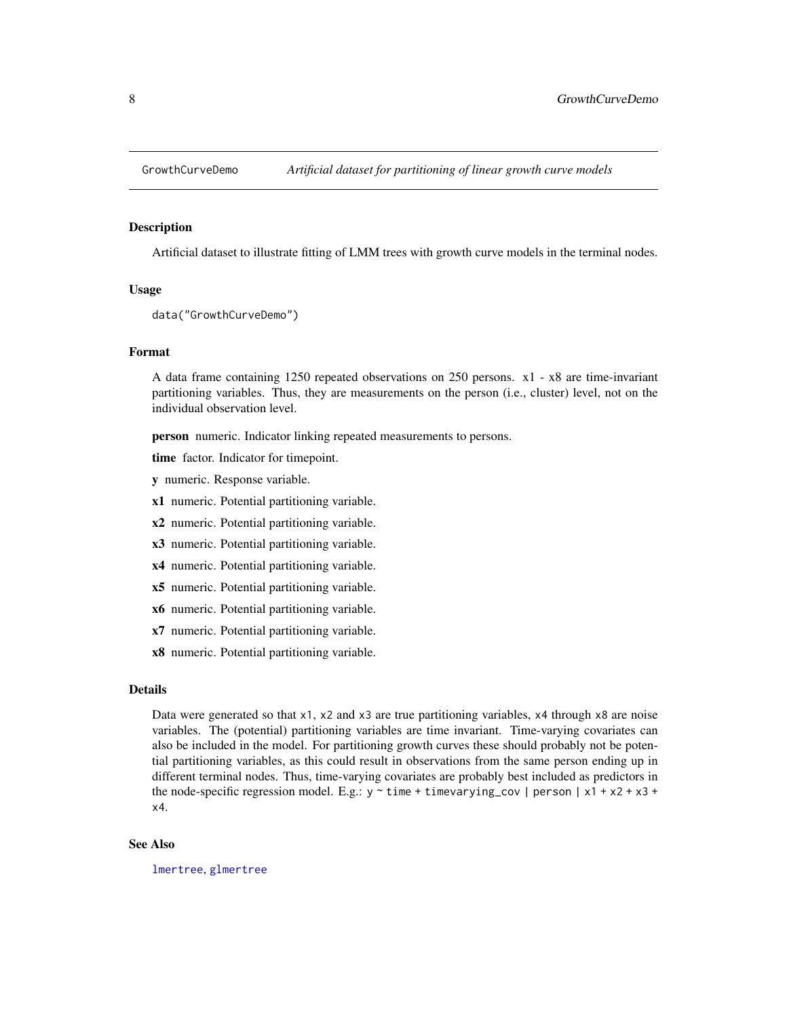<span id="page-7-0"></span>

#### Description

Artificial dataset to illustrate fitting of LMM trees with growth curve models in the terminal nodes.

#### Usage

```
data("GrowthCurveDemo")
```
#### Format

A data frame containing 1250 repeated observations on 250 persons. x1 - x8 are time-invariant partitioning variables. Thus, they are measurements on the person (i.e., cluster) level, not on the individual observation level.

person numeric. Indicator linking repeated measurements to persons.

time factor. Indicator for timepoint.

y numeric. Response variable.

x1 numeric. Potential partitioning variable.

x2 numeric. Potential partitioning variable.

x3 numeric. Potential partitioning variable.

x4 numeric. Potential partitioning variable.

x5 numeric. Potential partitioning variable.

x6 numeric. Potential partitioning variable.

x7 numeric. Potential partitioning variable.

x8 numeric. Potential partitioning variable.

#### Details

Data were generated so that x1, x2 and x3 are true partitioning variables, x4 through x8 are noise variables. The (potential) partitioning variables are time invariant. Time-varying covariates can also be included in the model. For partitioning growth curves these should probably not be potential partitioning variables, as this could result in observations from the same person ending up in different terminal nodes. Thus, time-varying covariates are probably best included as predictors in the node-specific regression model. E.g.:  $y \sim$  time + timevarying\_cov | person | x1 + x2 + x3 + x4.

## See Also

[lmertree](#page-3-1), [glmertree](#page-3-2)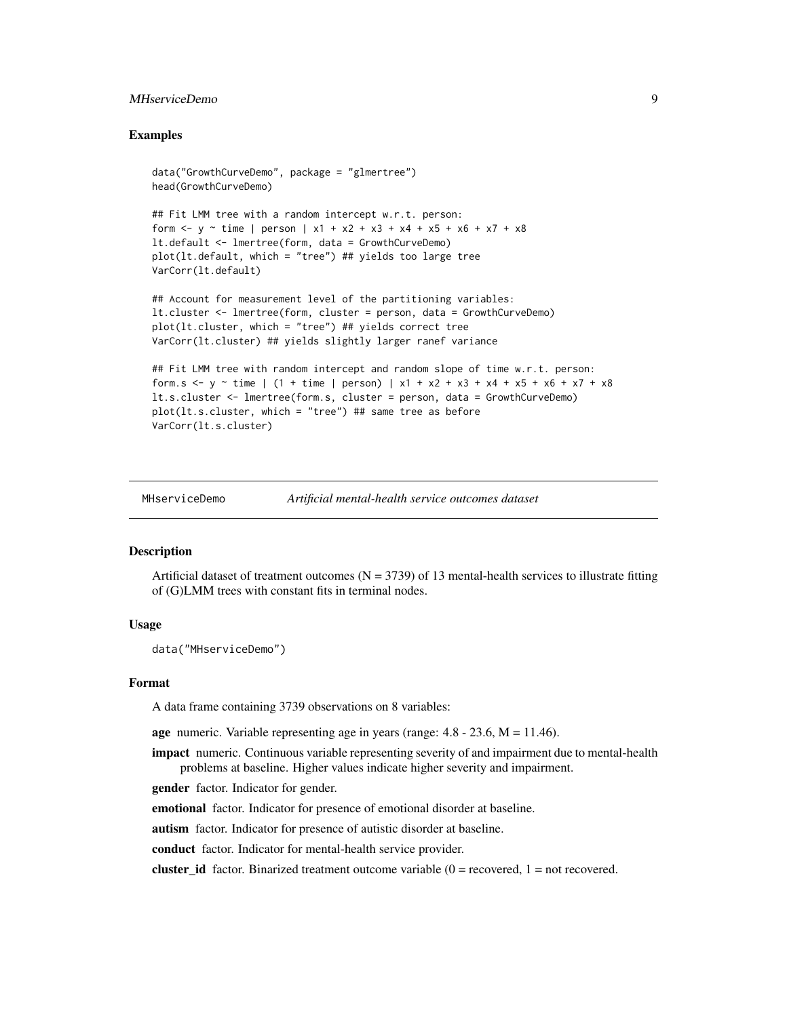## <span id="page-8-0"></span>MHserviceDemo 9

## Examples

```
data("GrowthCurveDemo", package = "glmertree")
head(GrowthCurveDemo)
```

```
## Fit LMM tree with a random intercept w.r.t. person:
form \le- y \sim time | person | x1 + x2 + x3 + x4 + x5 + x6 + x7 + x8
lt.default <- lmertree(form, data = GrowthCurveDemo)
plot(lt.default, which = "tree") ## yields too large tree
VarCorr(lt.default)
```
## Account for measurement level of the partitioning variables: lt.cluster <- lmertree(form, cluster = person, data = GrowthCurveDemo) plot(lt.cluster, which = "tree") ## yields correct tree VarCorr(lt.cluster) ## yields slightly larger ranef variance

```
## Fit LMM tree with random intercept and random slope of time w.r.t. person:
form.s <- y \sim time | (1 + time | person) | x1 + x2 + x3 + x4 + x5 + x6 + x7 + x8
lt.s.cluster <- lmertree(form.s, cluster = person, data = GrowthCurveDemo)
plot(lt.s.cluster, which = "tree") ## same tree as before
VarCorr(lt.s.cluster)
```
MHserviceDemo *Artificial mental-health service outcomes dataset*

#### Description

Artificial dataset of treatment outcomes  $(N = 3739)$  of 13 mental-health services to illustrate fitting of (G)LMM trees with constant fits in terminal nodes.

## Usage

```
data("MHserviceDemo")
```
#### Format

A data frame containing 3739 observations on 8 variables:

age numeric. Variable representing age in years (range:  $4.8 - 23.6$ ,  $M = 11.46$ ).

**impact** numeric. Continuous variable representing severity of and impairment due to mental-health problems at baseline. Higher values indicate higher severity and impairment.

**gender** factor. Indicator for gender.

emotional factor. Indicator for presence of emotional disorder at baseline.

autism factor. Indicator for presence of autistic disorder at baseline.

conduct factor. Indicator for mental-health service provider.

**cluster\_id** factor. Binarized treatment outcome variable  $(0 =$  recovered,  $1 =$  not recovered.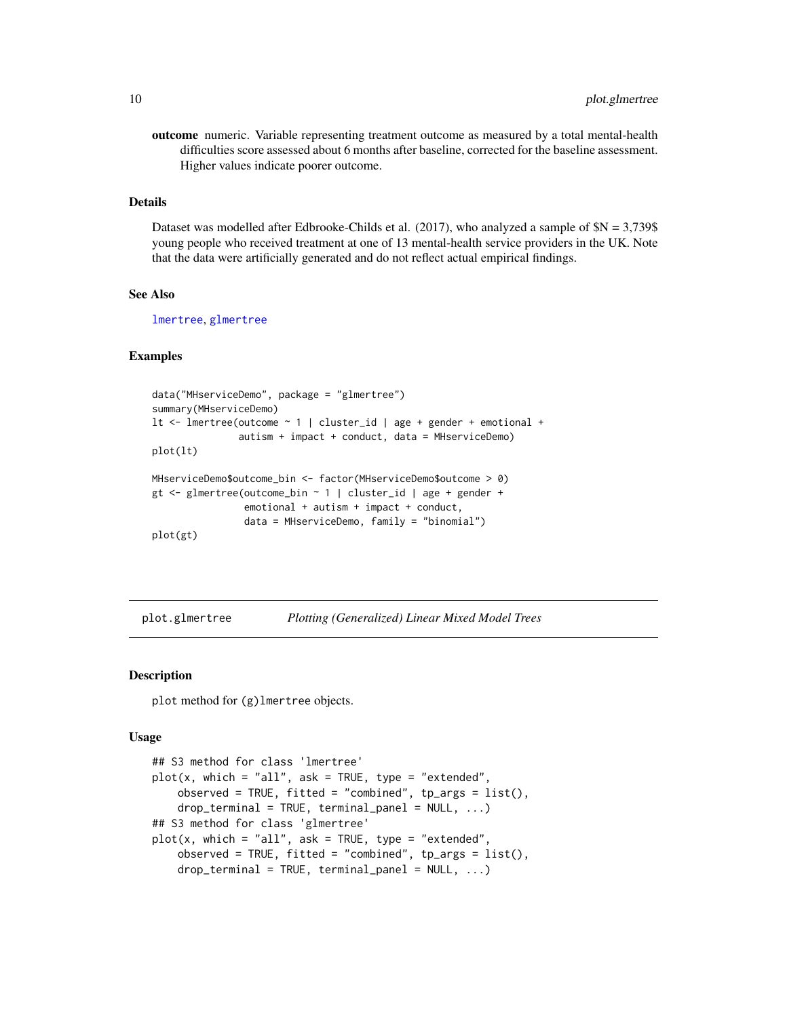<span id="page-9-0"></span>outcome numeric. Variable representing treatment outcome as measured by a total mental-health difficulties score assessed about 6 months after baseline, corrected for the baseline assessment. Higher values indicate poorer outcome.

## Details

Dataset was modelled after Edbrooke-Childs et al. (2017), who analyzed a sample of  $N = 3,739$ \$ young people who received treatment at one of 13 mental-health service providers in the UK. Note that the data were artificially generated and do not reflect actual empirical findings.

## See Also

[lmertree](#page-3-1), [glmertree](#page-3-2)

#### Examples

```
data("MHserviceDemo", package = "glmertree")
summary(MHserviceDemo)
lt <- lmertree(outcome ~ 1 | cluster_id | age + gender + emotional +
               autism + impact + conduct, data = MHserviceDemo)
plot(lt)
MHserviceDemo$outcome_bin <- factor(MHserviceDemo$outcome > 0)
gt <- glmertree(outcome_bin ~ 1 | cluster_id | age + gender +
                emotional + autism + impact + conduct,
                data = MHserviceDemo, family = "binomial")
plot(gt)
```
<span id="page-9-2"></span>plot.glmertree *Plotting (Generalized) Linear Mixed Model Trees*

## <span id="page-9-1"></span>Description

plot method for (g)lmertree objects.

#### Usage

```
## S3 method for class 'lmertree'
plot(x, which = "all", ask = TRUE, type = "extended",observed = TRUE, fitted = "combined", tp_{args} = list(),
    drop_terminal = TRUE, terminal\_panel = NULL, ...)## S3 method for class 'glmertree'
plot(x, which = "all", ask = TRUE, type = "extended",observed = TRUE, fitted = "combined", tp_args = list(),
    drop_terminal = TRUE, terminal\_panel = NULL, ...
```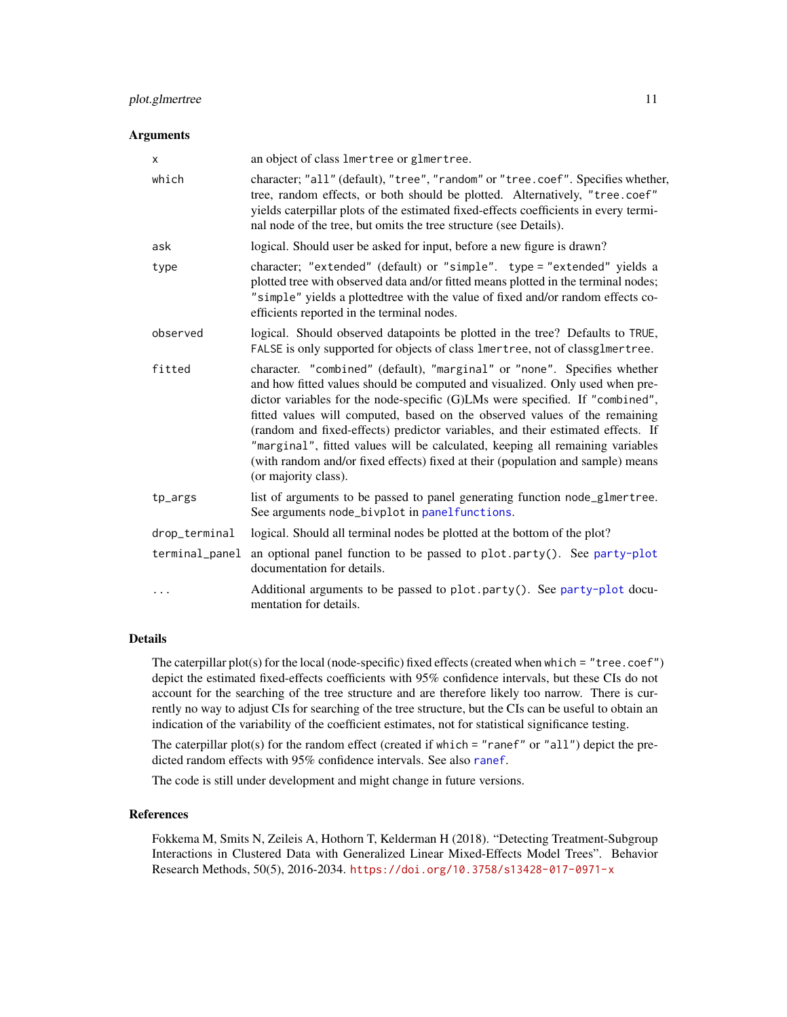## <span id="page-10-0"></span>plot.glmertree 11

## Arguments

| X              | an object of class lmertree or glmertree.                                                                                                                                                                                                                                                                                                                                                                                                                                                                                                                                                             |
|----------------|-------------------------------------------------------------------------------------------------------------------------------------------------------------------------------------------------------------------------------------------------------------------------------------------------------------------------------------------------------------------------------------------------------------------------------------------------------------------------------------------------------------------------------------------------------------------------------------------------------|
| which          | character; "all" (default), "tree", "random" or "tree.coef". Specifies whether,<br>tree, random effects, or both should be plotted. Alternatively, "tree.coef"<br>yields caterpillar plots of the estimated fixed-effects coefficients in every termi-<br>nal node of the tree, but omits the tree structure (see Details).                                                                                                                                                                                                                                                                           |
| ask            | logical. Should user be asked for input, before a new figure is drawn?                                                                                                                                                                                                                                                                                                                                                                                                                                                                                                                                |
| type           | character; "extended" (default) or "simple". type = "extended" yields a<br>plotted tree with observed data and/or fitted means plotted in the terminal nodes;<br>"simple" yields a plottedtree with the value of fixed and/or random effects co-<br>efficients reported in the terminal nodes.                                                                                                                                                                                                                                                                                                        |
| observed       | logical. Should observed datapoints be plotted in the tree? Defaults to TRUE,<br>FALSE is only supported for objects of class lmertree, not of classglmertree.                                                                                                                                                                                                                                                                                                                                                                                                                                        |
| fitted         | character. "combined" (default), "marginal" or "none". Specifies whether<br>and how fitted values should be computed and visualized. Only used when pre-<br>dictor variables for the node-specific (G)LMs were specified. If "combined",<br>fitted values will computed, based on the observed values of the remaining<br>(random and fixed-effects) predictor variables, and their estimated effects. If<br>"marginal", fitted values will be calculated, keeping all remaining variables<br>(with random and/or fixed effects) fixed at their (population and sample) means<br>(or majority class). |
| tp_args        | list of arguments to be passed to panel generating function node_glmertree.<br>See arguments node_bivplot in panelfunctions.                                                                                                                                                                                                                                                                                                                                                                                                                                                                          |
| drop_terminal  | logical. Should all terminal nodes be plotted at the bottom of the plot?                                                                                                                                                                                                                                                                                                                                                                                                                                                                                                                              |
| terminal_panel | an optional panel function to be passed to plot.party(). See party-plot<br>documentation for details.                                                                                                                                                                                                                                                                                                                                                                                                                                                                                                 |
| $\cdots$       | Additional arguments to be passed to plot.party(). See party-plot docu-<br>mentation for details.                                                                                                                                                                                                                                                                                                                                                                                                                                                                                                     |

## Details

The caterpillar plot(s) for the local (node-specific) fixed effects (created when which = "tree.coef") depict the estimated fixed-effects coefficients with 95% confidence intervals, but these CIs do not account for the searching of the tree structure and are therefore likely too narrow. There is currently no way to adjust CIs for searching of the tree structure, but the CIs can be useful to obtain an indication of the variability of the coefficient estimates, not for statistical significance testing.

The caterpillar plot(s) for the random effect (created if which = "ranef" or "all") depict the predicted random effects with 95% confidence intervals. See also [ranef](#page-0-0).

The code is still under development and might change in future versions.

## References

Fokkema M, Smits N, Zeileis A, Hothorn T, Kelderman H (2018). "Detecting Treatment-Subgroup Interactions in Clustered Data with Generalized Linear Mixed-Effects Model Trees". Behavior Research Methods, 50(5), 2016-2034. <https://doi.org/10.3758/s13428-017-0971-x>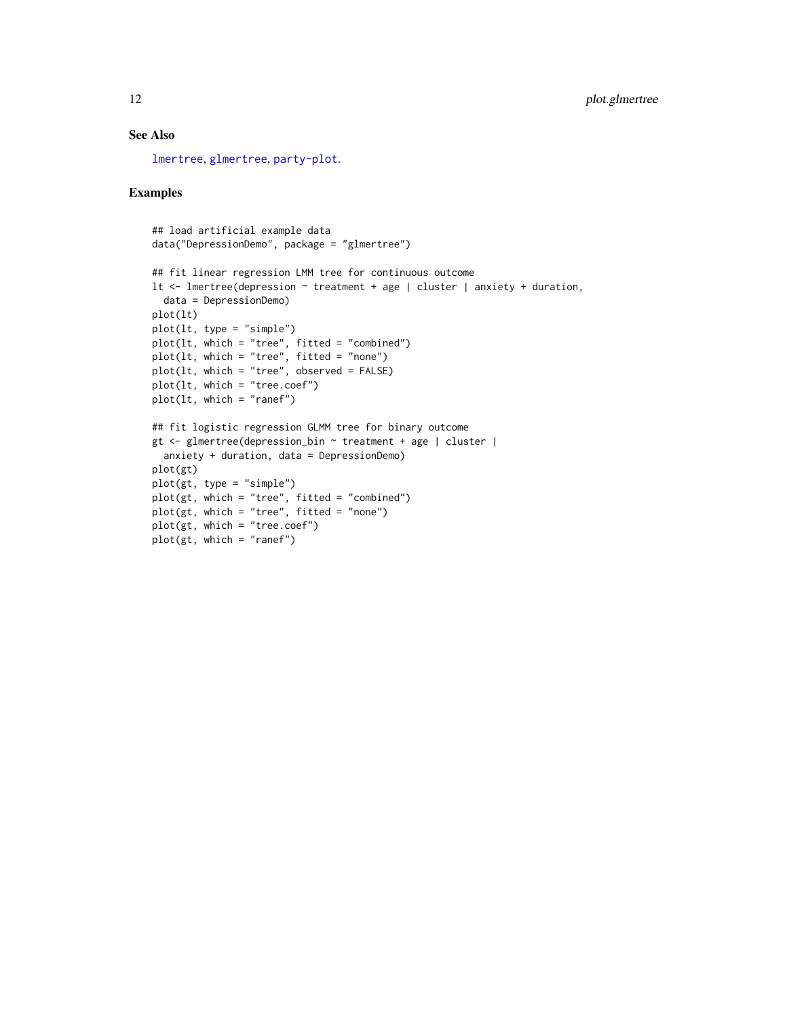## <span id="page-11-0"></span>See Also

[lmertree](#page-3-1), [glmertree](#page-3-2), [party-plot](#page-0-0).

## Examples

```
## load artificial example data
data("DepressionDemo", package = "glmertree")
## fit linear regression LMM tree for continuous outcome
lt <- lmertree(depression ~ treatment + age | cluster | anxiety + duration,
 data = DepressionDemo)
plot(lt)
plot(lt, type = "simple")
plot(lt, which = "tree", fitted = "combined")
plot(lt, which = "tree", fitted = "none")
plot(lt, which = "tree", observed = FALSE)
plot(lt, which = "tree.coef")
plot(lt, which = "ranef")
## fit logistic regression GLMM tree for binary outcome
gt <- glmertree(depression_bin ~ treatment + age | cluster |
  anxiety + duration, data = DepressionDemo)
plot(gt)
plot(gt, type = "simple")
plot(gt, which = "tree", fitted = "combined")
plot(gt, which = "tree", fitted = "none")
plot(gt, which = "tree.coef")
plot(gt, which = "ranef")
```